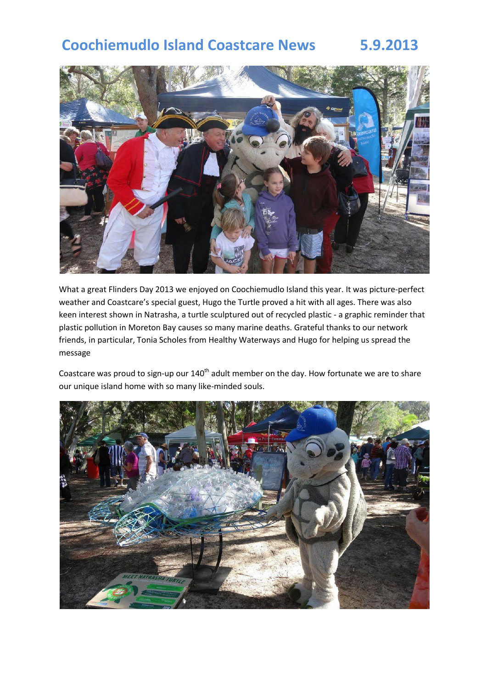# **Coochiemudlo Island Coastcare News 5.9.2013**



What a great Flinders Day 2013 we enjoyed on Coochiemudlo Island this year. It was picture-perfect weather and Coastcare's special guest, Hugo the Turtle proved a hit with all ages. There was also keen interest shown in Natrasha, a turtle sculptured out of recycled plastic - a graphic reminder that plastic pollution in Moreton Bay causes so many marine deaths. Grateful thanks to our network friends, in particular, Tonia Scholes from Healthy Waterways and Hugo for helping us spread the message

Coastcare was proud to sign-up our  $140<sup>th</sup>$  adult member on the day. How fortunate we are to share our unique island home with so many like-minded souls.

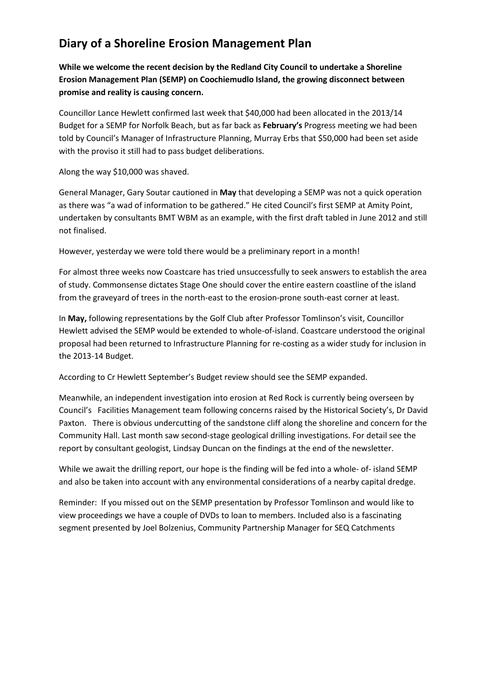# **Diary of a Shoreline Erosion Management Plan**

**While we welcome the recent decision by the Redland City Council to undertake a Shoreline Erosion Management Plan (SEMP) on Coochiemudlo Island, the growing disconnect between promise and reality is causing concern.** 

Councillor Lance Hewlett confirmed last week that \$40,000 had been allocated in the 2013/14 Budget for a SEMP for Norfolk Beach, but as far back as **February's** Progress meeting we had been told by Council's Manager of Infrastructure Planning, Murray Erbs that \$50,000 had been set aside with the proviso it still had to pass budget deliberations.

Along the way \$10,000 was shaved.

General Manager, Gary Soutar cautioned in **May** that developing a SEMP was not a quick operation as there was "a wad of information to be gathered." He cited Council's first SEMP at Amity Point, undertaken by consultants BMT WBM as an example, with the first draft tabled in June 2012 and still not finalised.

However, yesterday we were told there would be a preliminary report in a month!

For almost three weeks now Coastcare has tried unsuccessfully to seek answers to establish the area of study. Commonsense dictates Stage One should cover the entire eastern coastline of the island from the graveyard of trees in the north-east to the erosion-prone south-east corner at least.

In **May,** following representations by the Golf Club after Professor Tomlinson's visit, Councillor Hewlett advised the SEMP would be extended to whole-of-island. Coastcare understood the original proposal had been returned to Infrastructure Planning for re-costing as a wider study for inclusion in the 2013-14 Budget.

According to Cr Hewlett September's Budget review should see the SEMP expanded.

Meanwhile, an independent investigation into erosion at Red Rock is currently being overseen by Council's Facilities Management team following concerns raised by the Historical Society's, Dr David Paxton. There is obvious undercutting of the sandstone cliff along the shoreline and concern for the Community Hall. Last month saw second-stage geological drilling investigations. For detail see the report by consultant geologist, Lindsay Duncan on the findings at the end of the newsletter.

While we await the drilling report, our hope is the finding will be fed into a whole- of- island SEMP and also be taken into account with any environmental considerations of a nearby capital dredge.

Reminder: If you missed out on the SEMP presentation by Professor Tomlinson and would like to view proceedings we have a couple of DVDs to loan to members. Included also is a fascinating segment presented by Joel Bolzenius, Community Partnership Manager for SEQ Catchments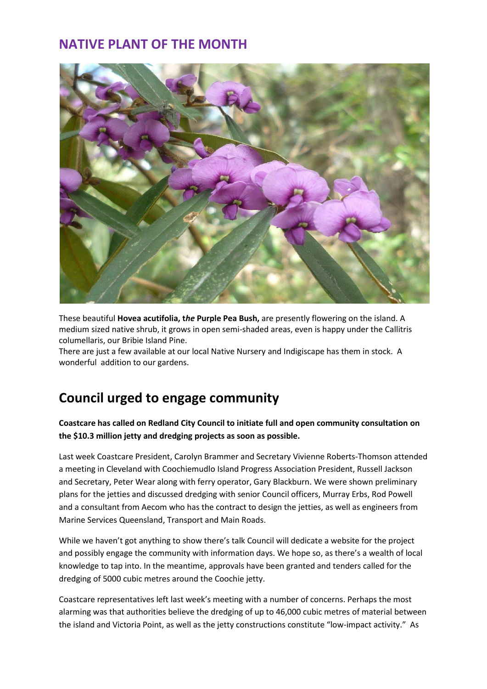# **NATIVE PLANT OF THE MONTH**



These beautiful **Hovea acutifolia, t***he* **Purple Pea Bush,** are presently flowering on the island. A medium sized native shrub, it grows in open semi-shaded areas, even is happy under the Callitris columellaris, our Bribie Island Pine.

There are just a few available at our local Native Nursery and Indigiscape has them in stock. A wonderful addition to our gardens.

# **Council urged to engage community**

## **Coastcare has called on Redland City Council to initiate full and open community consultation on the \$10.3 million jetty and dredging projects as soon as possible.**

Last week Coastcare President, Carolyn Brammer and Secretary Vivienne Roberts-Thomson attended a meeting in Cleveland with Coochiemudlo Island Progress Association President, Russell Jackson and Secretary, Peter Wear along with ferry operator, Gary Blackburn. We were shown preliminary plans for the jetties and discussed dredging with senior Council officers, Murray Erbs, Rod Powell and a consultant from Aecom who has the contract to design the jetties, as well as engineers from Marine Services Queensland, Transport and Main Roads.

While we haven't got anything to show there's talk Council will dedicate a website for the project and possibly engage the community with information days. We hope so, as there's a wealth of local knowledge to tap into. In the meantime, approvals have been granted and tenders called for the dredging of 5000 cubic metres around the Coochie jetty.

Coastcare representatives left last week's meeting with a number of concerns. Perhaps the most alarming was that authorities believe the dredging of up to 46,000 cubic metres of material between the island and Victoria Point, as well as the jetty constructions constitute "low-impact activity." As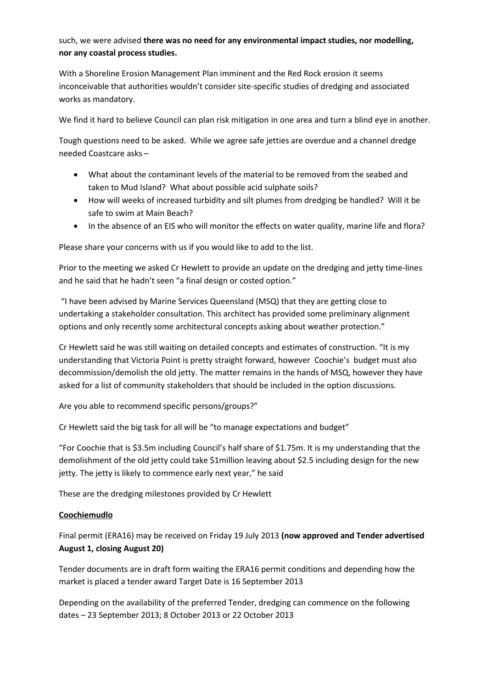## such, we were advised **there was no need for any environmental impact studies, nor modelling, nor any coastal process studies.**

With a Shoreline Erosion Management Plan imminent and the Red Rock erosion it seems inconceivable that authorities wouldn't consider site-specific studies of dredging and associated works as mandatory.

We find it hard to believe Council can plan risk mitigation in one area and turn a blind eye in another.

Tough questions need to be asked. While we agree safe jetties are overdue and a channel dredge needed Coastcare asks –

- What about the contaminant levels of the material to be removed from the seabed and taken to Mud Island? What about possible acid sulphate soils?
- How will weeks of increased turbidity and silt plumes from dredging be handled? Will it be safe to swim at Main Beach?
- In the absence of an EIS who will monitor the effects on water quality, marine life and flora?

Please share your concerns with us if you would like to add to the list.

Prior to the meeting we asked Cr Hewlett to provide an update on the dredging and jetty time-lines and he said that he hadn't seen "a final design or costed option."

"I have been advised by Marine Services Queensland (MSQ) that they are getting close to undertaking a stakeholder consultation. This architect has provided some preliminary alignment options and only recently some architectural concepts asking about weather protection."

Cr Hewlett said he was still waiting on detailed concepts and estimates of construction. "It is my understanding that Victoria Point is pretty straight forward, however Coochie's budget must also decommission/demolish the old jetty. The matter remains in the hands of MSQ, however they have asked for a list of community stakeholders that should be included in the option discussions.

Are you able to recommend specific persons/groups?"

Cr Hewlett said the big task for all will be "to manage expectations and budget"

"For Coochie that is \$3.5m including Council's half share of \$1.75m. It is my understanding that the demolishment of the old jetty could take \$1million leaving about \$2.5 including design for the new jetty. The jetty is likely to commence early next year," he said

These are the dredging milestones provided by Cr Hewlett

### **Coochiemudlo**

Final permit (ERA16) may be received on Friday 19 July 2013 **(now approved and Tender advertised August 1, closing August 20)**

Tender documents are in draft form waiting the ERA16 permit conditions and depending how the market is placed a tender award Target Date is 16 September 2013

Depending on the availability of the preferred Tender, dredging can commence on the following dates – 23 September 2013; 8 October 2013 or 22 October 2013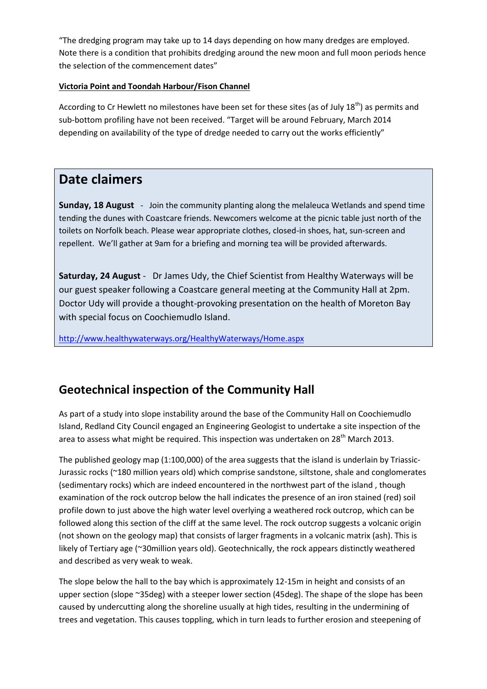"The dredging program may take up to 14 days depending on how many dredges are employed. Note there is a condition that prohibits dredging around the new moon and full moon periods hence the selection of the commencement dates"

### **Victoria Point and Toondah Harbour/Fison Channel**

According to Cr Hewlett no milestones have been set for these sites (as of July  $18<sup>th</sup>$ ) as permits and sub-bottom profiling have not been received. "Target will be around February, March 2014 depending on availability of the type of dredge needed to carry out the works efficiently"

# **Date claimers**

**Sunday, 18 August** - Join the community planting along the melaleuca Wetlands and spend time tending the dunes with Coastcare friends. Newcomers welcome at the picnic table just north of the toilets on Norfolk beach. Please wear appropriate clothes, closed-in shoes, hat, sun-screen and repellent. We'll gather at 9am for a briefing and morning tea will be provided afterwards.

**Saturday, 24 August** - Dr James Udy, the Chief Scientist from Healthy Waterways will be our guest speaker following a Coastcare general meeting at the Community Hall at 2pm. Doctor Udy will provide a thought-provoking presentation on the health of Moreton Bay with special focus on Coochiemudlo Island.

<http://www.healthywaterways.org/HealthyWaterways/Home.aspx>

# **Geotechnical inspection of the Community Hall**

As part of a study into slope instability around the base of the Community Hall on Coochiemudlo Island, Redland City Council engaged an Engineering Geologist to undertake a site inspection of the area to assess what might be required. This inspection was undertaken on 28<sup>th</sup> March 2013.

The published geology map (1:100,000) of the area suggests that the island is underlain by Triassic-Jurassic rocks (~180 million years old) which comprise sandstone, siltstone, shale and conglomerates (sedimentary rocks) which are indeed encountered in the northwest part of the island , though examination of the rock outcrop below the hall indicates the presence of an iron stained (red) soil profile down to just above the high water level overlying a weathered rock outcrop, which can be followed along this section of the cliff at the same level. The rock outcrop suggests a volcanic origin (not shown on the geology map) that consists of larger fragments in a volcanic matrix (ash). This is likely of Tertiary age (~30million years old). Geotechnically, the rock appears distinctly weathered and described as very weak to weak.

The slope below the hall to the bay which is approximately 12-15m in height and consists of an upper section (slope ~35deg) with a steeper lower section (45deg). The shape of the slope has been caused by undercutting along the shoreline usually at high tides, resulting in the undermining of trees and vegetation. This causes toppling, which in turn leads to further erosion and steepening of